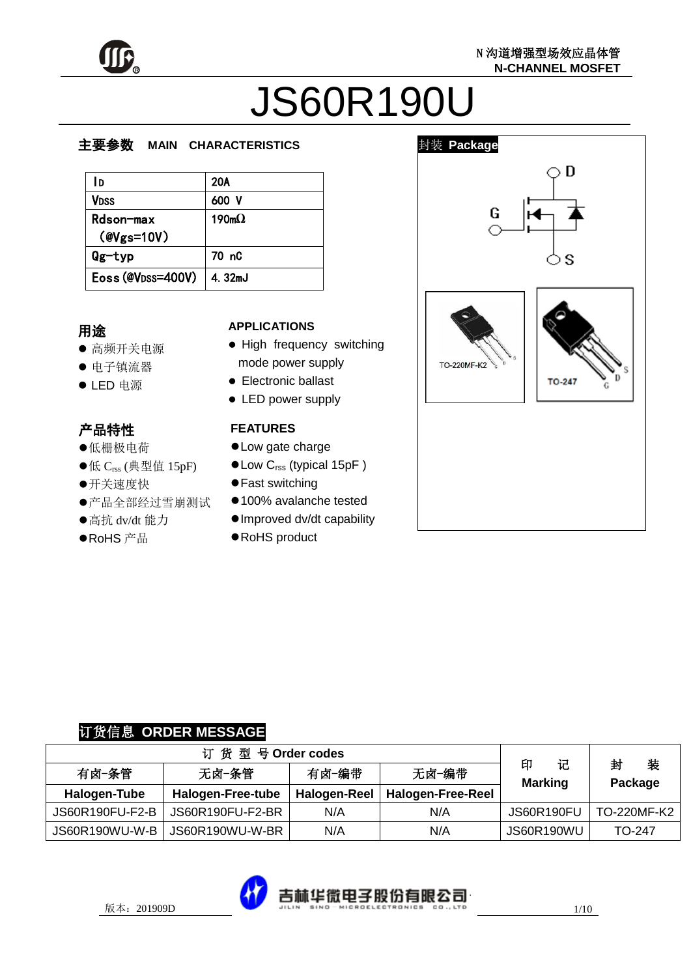

# JS60R190U

#### z  $\overline{\phantom{a}}$ 主要参数 **MAIN CHARACTERISTICS**

| l D                | 20A               |
|--------------------|-------------------|
| Vdss               | 600 V             |
| Rdson-max          | 190m <sub>0</sub> |
| $(\text{Wgs}=10V)$ |                   |
| $Qg$ -typ          | 70 nC             |
| Eoss (@VDSS=400V)  | 4.32mJ            |

## $\mathbf{r}$ 用途

- 高频开关电源
- 电子镇流器
- LED 电源

# 产品特性

- 低栅极电荷
- ●低 C<sub>rss</sub> (典型值 15pF)
- 开关速度快
- 产品全部经过雪崩测试
- 高抗 dv/dt 能力
- ●RoHS 产品

# **APPLICATIONS**

- High frequency switching mode power supply
- **•** Electronic ballast
- LED power supply

# **FEATURES**

- Low gate charge
- Low C<sub>rss</sub> (typical 15pF)
- Fast switching
- 100% avalanche tested
- Improved dv/dt capability
- RoHS product



## 订货信息 **ORDER MESSAGE**

| 订货型号Order codes |                   |              |                   |                          |                   |  |
|-----------------|-------------------|--------------|-------------------|--------------------------|-------------------|--|
| 有卤−条管           | 无卤-条管             | 有卤-编带        | 无卤-编带             | 印<br>记<br><b>Marking</b> | 封<br>装<br>Package |  |
| Halogen-Tube    | Halogen-Free-tube | Halogen-Reel | Halogen-Free-Reel |                          |                   |  |
| JS60R190FU-F2-B | JS60R190FU-F2-BR  | N/A          | N/A               | <b>JS60R190FU</b>        | TO-220MF-K2       |  |
| JS60R190WU-W-B  | JS60R190WU-W-BR   | N/A          | N/A               | <b>JS60R190WU</b>        | TO-247            |  |

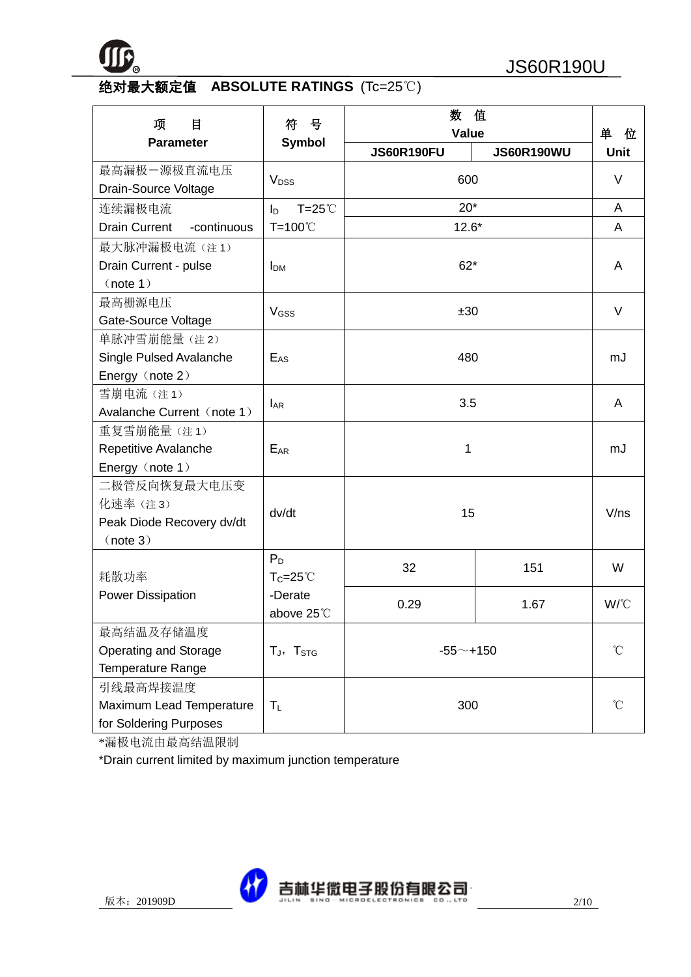

# 绝对最大额定值 **ABSOLUTE RATINGS** (Tc=25℃)

| 项<br>目                                                           | 数<br>值<br>号<br>符<br>Value          |                   |                   | 单<br>位       |
|------------------------------------------------------------------|------------------------------------|-------------------|-------------------|--------------|
| <b>Parameter</b>                                                 | <b>Symbol</b>                      | <b>JS60R190FU</b> | <b>JS60R190WU</b> | <b>Unit</b>  |
| 最高漏极一源极直流电压<br>Drain-Source Voltage                              | V <sub>DSS</sub>                   |                   | 600               |              |
| 连续漏极电流                                                           | $T = 25^{\circ}$<br>$I_{\text{D}}$ | $20*$             |                   | A            |
| <b>Drain Current</b><br>-continuous                              | T=100℃                             | $12.6*$           |                   | A            |
| 最大脉冲漏极电流(注1)<br>Drain Current - pulse<br>(note 1)                | <b>I</b> <sub>DM</sub>             |                   | $62*$             |              |
| 最高栅源电压<br>Gate-Source Voltage                                    | V <sub>GSS</sub>                   | ±30               |                   | V            |
| 单脉冲雪崩能量(注2)<br>Single Pulsed Avalanche<br>Energy (note 2)        | $E_{\rm AS}$                       | 480               |                   | mJ           |
| 雪崩电流(注1)<br>Avalanche Current (note 1)                           | $I_{AR}$                           | 3.5               |                   | A            |
| 重复雪崩能量(注1)<br>Repetitive Avalanche<br>Energy (note 1)            | $E_{AR}$                           | 1                 |                   | mJ           |
| 二极管反向恢复最大电压变<br>化速率(注3)<br>Peak Diode Recovery dv/dt<br>(note 3) | dv/dt                              | 15                |                   | V/ns         |
| 耗散功率                                                             | $P_D$<br>$T_C = 25^{\circ}$        | 32                | 151               | W            |
| <b>Power Dissipation</b>                                         | -Derate<br>above 25°C              | 0.29              | 1.67              | W/°C         |
| 最高结温及存储温度<br>Operating and Storage<br><b>Temperature Range</b>   | $T_J$ , $T_{STG}$                  | $-55$ ~+150       |                   | $^{\circ}$ C |
| 引线最高焊接温度<br>Maximum Lead Temperature<br>for Soldering Purposes   | $T_L$                              | 300               |                   | $^{\circ}$ C |

\*漏极电流由最高结温限制

\*Drain current limited by maximum junction temperature

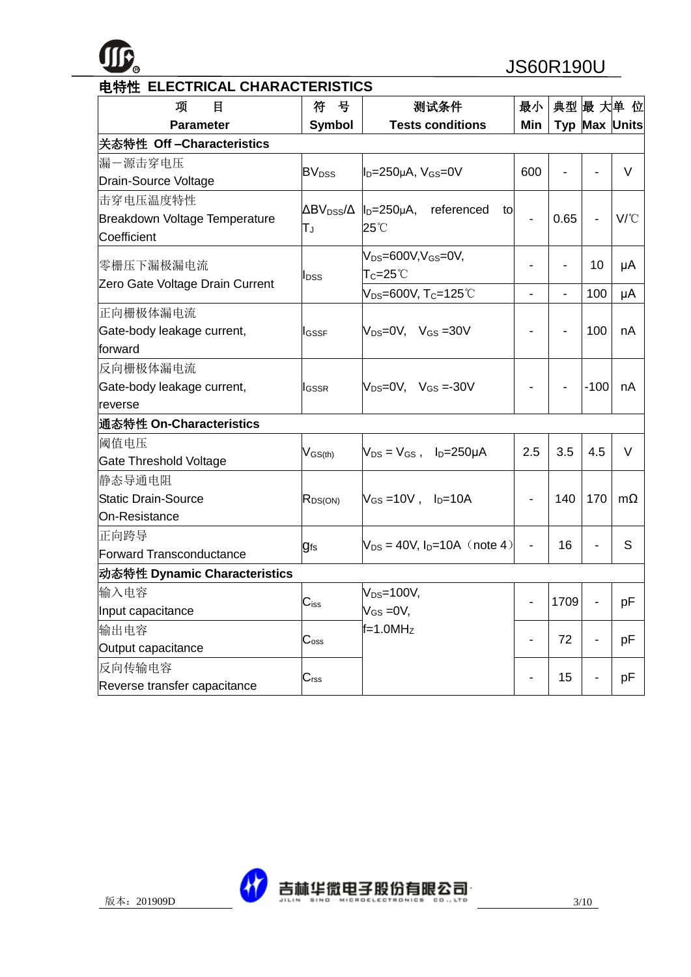

| 项<br>目                          | 号<br>符                   | 测试条件                                                       | 最小                       |                          |                          | 典型 最 大单 位            |
|---------------------------------|--------------------------|------------------------------------------------------------|--------------------------|--------------------------|--------------------------|----------------------|
| <b>Parameter</b>                | <b>Symbol</b>            | <b>Tests conditions</b>                                    | Min                      |                          |                          | <b>Typ Max Units</b> |
| 关态特性 Off - Characteristics      |                          |                                                            |                          |                          |                          |                      |
| 漏一源击穿电压                         | <b>BV</b> <sub>DSS</sub> |                                                            | 600                      | $\overline{\phantom{a}}$ | $\overline{a}$           | $\vee$               |
| Drain-Source Voltage            |                          | $I_D=250\mu A$ , $V_{GS}=0V$                               |                          |                          |                          |                      |
| 击穿电压温度特性                        |                          | $\Delta BV_{DSS}/\Delta$   <sub>D</sub> =250µA, referenced |                          |                          |                          |                      |
| Breakdown Voltage Temperature   | $T_{\rm J}$              | tol<br>25°C                                                |                          | 0.65                     | $\overline{a}$           | $V^{\circ}C$         |
| Coefficient                     |                          |                                                            |                          |                          |                          |                      |
| 零栅压下漏极漏电流                       |                          | $V_{DS}=600V, V_{GS}=0V,$                                  |                          |                          | 10                       | μA                   |
| Zero Gate Voltage Drain Current | I <sub>DSS</sub>         | $T_C = 25^{\circ}$                                         |                          |                          |                          |                      |
|                                 |                          | V <sub>DS</sub> =600V, T <sub>C</sub> =125°C               | $\overline{\phantom{a}}$ | $\blacksquare$           | 100                      | μA                   |
| 正向栅极体漏电流                        |                          |                                                            |                          |                          |                          |                      |
| Gate-body leakage current,      | <b>I</b> GSSF            | $V_{DS}=0V$ , $V_{GS}=30V$                                 |                          |                          | 100                      | nA                   |
| forward                         |                          |                                                            |                          |                          |                          |                      |
| 反向栅极体漏电流                        |                          |                                                            |                          |                          |                          |                      |
| Gate-body leakage current,      | <b>I</b> GSSR            | $V_{DS}=0V$ , $V_{GS}=30V$                                 |                          |                          | $-100$                   | nA                   |
| reverse                         |                          |                                                            |                          |                          |                          |                      |
| 通态特性 On-Characteristics         |                          |                                                            |                          |                          |                          |                      |
| 阈值电压                            | $V_{GS(th)}$             | $V_{DS} = V_{GS}$ , $I_D = 250 \mu A$                      | 2.5                      | 3.5                      | 4.5                      | V                    |
| Gate Threshold Voltage          |                          |                                                            |                          |                          |                          |                      |
| 静态导通电阻                          |                          |                                                            |                          |                          |                          |                      |
| <b>Static Drain-Source</b>      | $R_{DS(ON)}$             | $V_{GS} = 10V$ , $I_{D} = 10A$                             |                          | 140                      | 170                      | $m\Omega$            |
| On-Resistance                   |                          |                                                            |                          |                          |                          |                      |
| 正向跨导                            |                          | $V_{DS} = 40V$ , $I_D = 10A$ (note 4)                      |                          | 16                       | $\overline{a}$           | S                    |
| <b>Forward Transconductance</b> | <b>gfs</b>               |                                                            |                          |                          |                          |                      |
| 动态特性 Dynamic Characteristics    |                          |                                                            |                          |                          |                          |                      |
| 输入电容                            | $C_{iss}$                | $V_{DS}=100V$ ,                                            |                          | 1709                     | $\overline{a}$           | pF                   |
| Input capacitance               |                          | $V_{GS} = 0V$ ,                                            |                          |                          |                          |                      |
| 输出电容                            |                          | $f=1.0MHz$                                                 |                          | 72                       |                          | pF                   |
| Output capacitance              | $C_{\rm oss}$            |                                                            |                          |                          | $\overline{\phantom{0}}$ |                      |
| 反向传输电容                          | $C_{\text{rss}}$         |                                                            |                          | 15                       | $\overline{a}$           | pF                   |
| Reverse transfer capacitance    |                          |                                                            |                          |                          |                          |                      |

# 电特性 **ELECTRICAL CHARACTERISTICS**

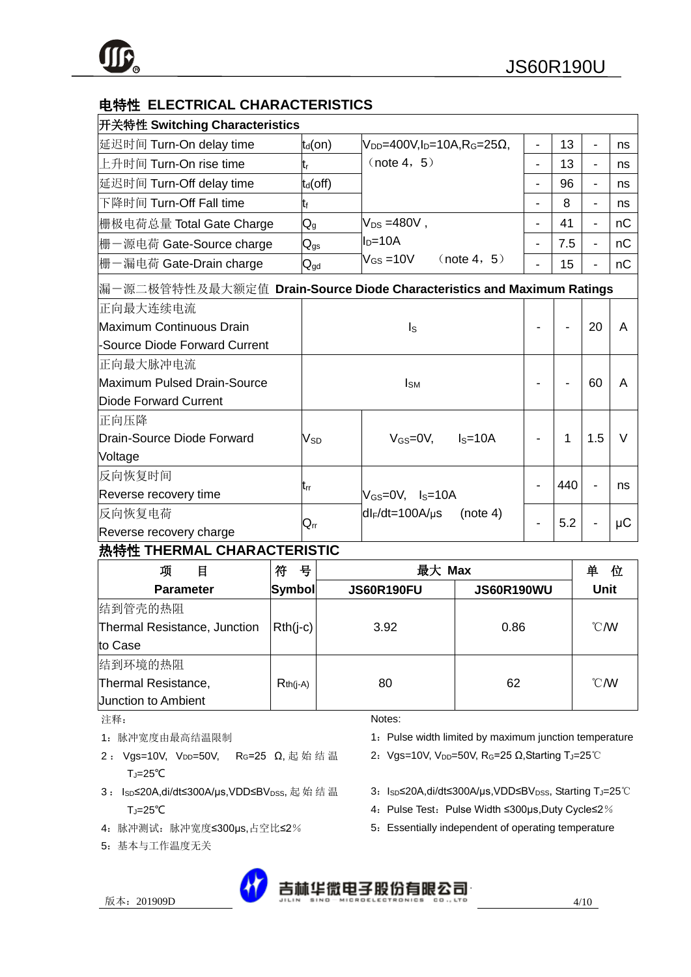| 电特性 ELECTRICAL CHARACTERISTICS                                        |                            |                                                                    |                |     |                          |         |  |
|-----------------------------------------------------------------------|----------------------------|--------------------------------------------------------------------|----------------|-----|--------------------------|---------|--|
| 开关特性 Switching Characteristics                                        |                            |                                                                    |                |     |                          |         |  |
| 延迟时间 Turn-On delay time                                               | $t_d($ on $)$              | $V_{DD}$ =400V, I <sub>D</sub> =10A, R <sub>G</sub> =25 $\Omega$ , |                | 13  |                          | ns      |  |
| 上升时间 Turn-On rise time                                                | $t_{r}$                    | (note 4, 5)                                                        |                | 13  |                          | ns      |  |
| 延迟时间 Turn-Off delay time                                              | $t_d$ (off)                |                                                                    | $\blacksquare$ | 96  | $\overline{\phantom{0}}$ | ns      |  |
| 下降时间 Turn-Off Fall time                                               | tŧ                         |                                                                    |                | 8   | $\blacksquare$           | ns      |  |
| 栅极电荷总量 Total Gate Charge                                              | $\mathsf{Q}_{\text{g}}$    | $V_{DS} = 480V$ ,                                                  |                | 41  |                          | nC      |  |
| 栅一源电荷 Gate-Source charge                                              | $\mathsf{Q}_{\mathsf{gs}}$ | $ID=10A$                                                           |                | 7.5 |                          | nC      |  |
| 栅一漏电荷 Gate-Drain charge                                               | $\mathsf{Q}_{\mathsf{gd}}$ | $\rm V_{GS}$ =10V<br>(note 4, 5)                                   |                | 15  |                          | nC      |  |
| 漏一源二极管特性及最大额定值 Drain-Source Diode Characteristics and Maximum Ratings |                            |                                                                    |                |     |                          |         |  |
| 正向最大连续电流                                                              |                            |                                                                    |                |     |                          |         |  |
| Maximum Continuous Drain                                              |                            | $I_{\rm S}$                                                        |                |     | 20                       | A       |  |
| -Source Diode Forward Current                                         |                            |                                                                    |                |     |                          |         |  |
| 正向最大脉冲电流                                                              |                            |                                                                    |                |     |                          |         |  |
| Maximum Pulsed Drain-Source                                           |                            | $I_{SM}$                                                           |                |     | 60                       | A       |  |
| <b>Diode Forward Current</b>                                          |                            |                                                                    |                |     |                          |         |  |
| 正向压降                                                                  |                            |                                                                    |                |     |                          |         |  |
| Drain-Source Diode Forward                                            | $V_{SD}$                   | $V_{GS}=$ 0V,<br>$Is=10A$                                          |                | 1   | 1.5                      | $\vee$  |  |
| Voltage                                                               |                            |                                                                    |                |     |                          |         |  |
| 反向恢复时间                                                                |                            |                                                                    |                | 440 |                          | ns      |  |
| Reverse recovery time                                                 | trr                        | $V_{GS}=0V$ , $I_{S}=10A$                                          |                |     |                          |         |  |
| 反向恢复电荷                                                                | $\mathsf{Q}_{\text{rr}}$   | $dl_F/dt = 100A/\mu s$<br>(note 4)                                 |                | 5.2 |                          | $\mu$ C |  |
| Reverse recovery charge                                               |                            |                                                                    |                |     |                          |         |  |
| 执娃性 THERMAL CHARACTERISTIC                                            |                            |                                                                    |                |     |                          |         |  |

# **热特性 IHERMAL CHARACTERISTIC**

| 项<br>目                       | 符<br>뮥     | 最大 Max            |                   | 单<br>位           |
|------------------------------|------------|-------------------|-------------------|------------------|
| <b>Parameter</b>             | Symbol     | <b>JS60R190FU</b> | <b>JS60R190WU</b> | <b>Unit</b>      |
| 结到管壳的热阻                      |            |                   |                   |                  |
| Thermal Resistance, Junction | $Rth(i-c)$ | 3.92              | 0.86              | $\mathcal{C}$ MV |
| to Case                      |            |                   |                   |                  |
| 结到环境的热阻                      |            |                   |                   |                  |
| Thermal Resistance,          | $Rth(j-A)$ | 80                | 62                | $\mathcal{C}$ MV |
| <b>Junction to Ambient</b>   |            |                   |                   |                  |

注释:

- 1:脉冲宽度由最高结温限制
- 2: Vgs=10V, V<sub>DD</sub>=50V, R<sub>G</sub>=25 Ω, 起始结温 TJ=25℃
- 3: Isp≤20A,di/dt≤300A/µs,VDD≤BV<sub>DSS</sub>, 起 始 结 温 TJ=25℃
- 4:脉冲测试:脉冲宽度≤300μs,占空比≤2%
- 5:基本与工作温度无关

Notes:

- 1: Pulse width limited by maximum junction temperature
- 2: Vgs=10V, V<sub>DD</sub>=50V, RG=25 Ω, Starting TJ=25℃
- 3: IsD≤20A,di/dt≤300A/µs,VDD≤BVDSS, Starting TJ=25℃
- 4: Pulse Test: Pulse Width ≤300μs, Duty Cycle≤2%
- 5: Essentially independent of operating temperature

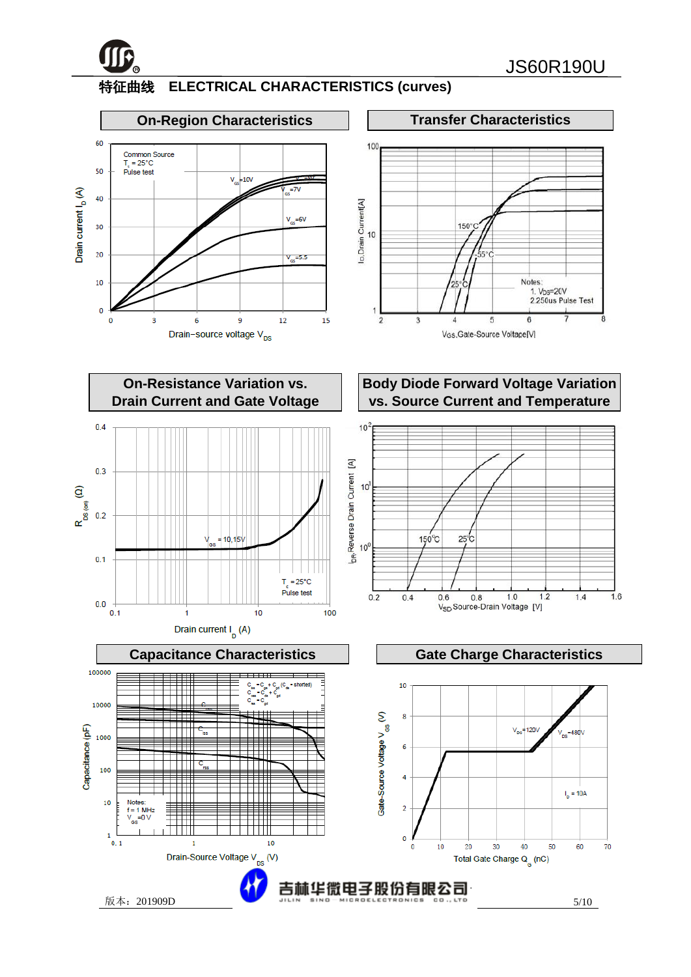

i<br>I

# 特征曲线 **ELECTRICAL CHARACTERISTICS (curves)**



**On-Resistance Variation vs. Drain Current and Gate Voltage**



# **Body Diode Forward Voltage Variation vs. Source Current and Temperature**



╤

▦

 $^{\rm{+++}}$ 

10

 $1.0$ 

 $1.2$ 



版本:201909D 5/10

Capacitance (pF)

1000

100

 $10$ 

 $\mathbf{1}$ 

 $\overline{0.1}$ 

Notes  $f = 1$  MHz<br> $V = 0$  V

-0 V

πm

 $\mathbf{1}$ 

Drain-Source Voltage V<sub>ne</sub> (V)

e.

 $1.6$ 

 $1.4$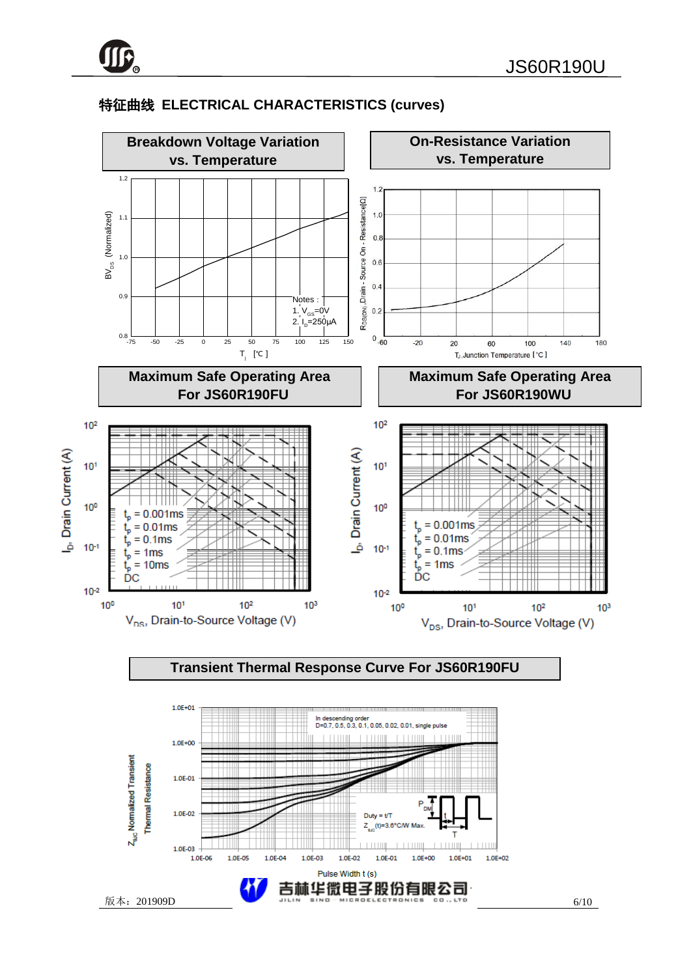1.0E-01

1.0E-02

1.0F-03

1.0E-06

1.0E-05

1.0E-04

1.0E-03

# 特征曲线 **ELECTRICAL CHARACTERISTICS (curves)**



 $Duty = t/T$  $(t)=3.6^{\circ}$ C/W Mat

吉林华微电子股份有限公司

1.0E-01

 $1.0E + 00$ 

1.0E-02

Pulse Width t (s)

 $1.0E + 01$ 

 $1.0F + 02$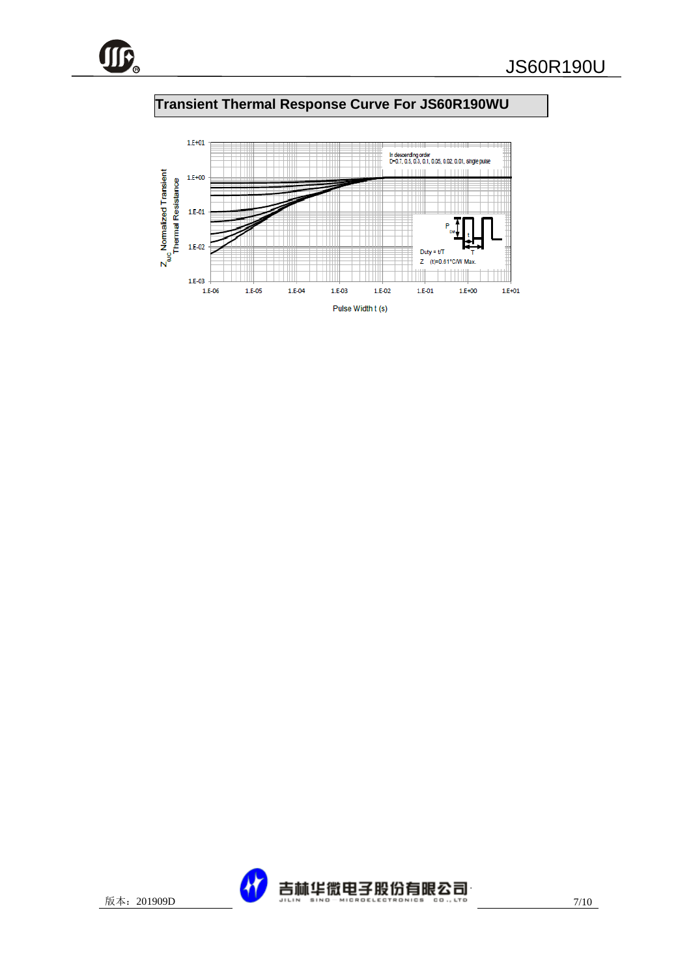

# **Transient Thermal Response Curve For JS60R190WU**



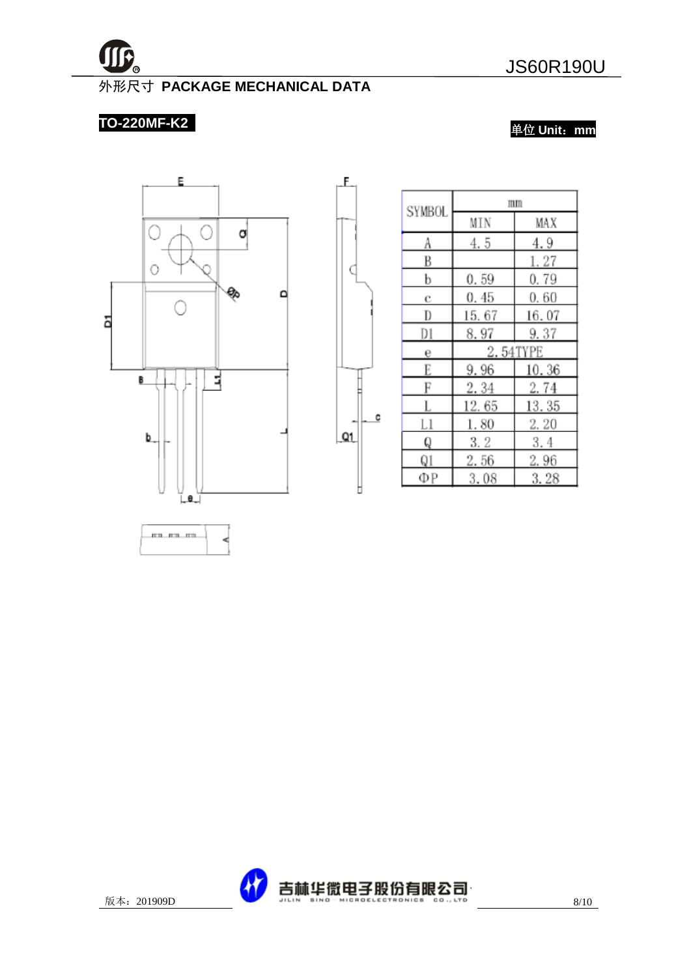

# 外形尺寸 **PACKAGE MECHANICAL DATA**

£.

C

c

 $Q1$ 

Þ

# **TO-220MF-K2**

单位 **Unit**:**mm**



| <b>SYMBOL</b> | mm     |          |  |  |
|---------------|--------|----------|--|--|
|               | MIN    | MAX      |  |  |
| A             | 4.5    | 4.9      |  |  |
| B             |        | 1.27     |  |  |
| b             | 0.59   | 0.79     |  |  |
| c             | 0.45   | 0.60     |  |  |
| D             | 15. 67 | 16.07    |  |  |
| D1            | 8.97   | 9.37     |  |  |
| е             |        | 2.54TYPE |  |  |
| E             | 9.96   | 10.36    |  |  |
| F             | 2.34   | 2.74     |  |  |
| L             | 12.65  | 13.35    |  |  |
| Ll            | 1.80   | 2. 20    |  |  |
| Q             | 3.2    | 3.4      |  |  |
| Q1            | 2.56   | 2.96     |  |  |
| ΦР            | 3.08   | 3.28     |  |  |

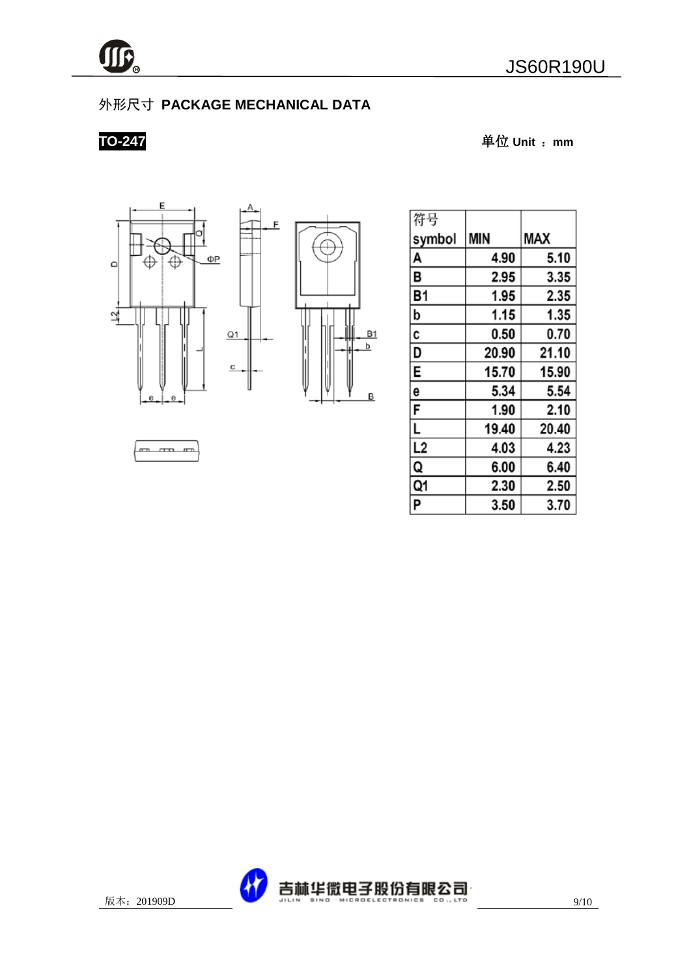

# 外形尺寸 **PACKAGE MECHANICAL DATA**

 $\overline{c}$ 

**TO-247** 单位 **Unit** :**mm**





| 符号        |            |       |
|-----------|------------|-------|
| symbol    | <b>MIN</b> | MAX   |
| A         | 4.90       | 5.10  |
| В         | 2.95       | 3.35  |
| <b>B1</b> | 1.95       | 2.35  |
| þ         | 1.15       | 1.35  |
| C         | 0.50       | 0.70  |
| D         | 20.90      | 21.10 |
| E         | 15.70      | 15.90 |
| 6         | 5.34       | 5.54  |
| F         | 1.90       | 2.10  |
| L         | 19.40      | 20.40 |
| L2        | 4.03       | 4.23  |
| Q         | 6.00       | 6.40  |
| Q1        | 2.30       | 2.50  |
| P         | 3.50       | 3.70  |

m m m